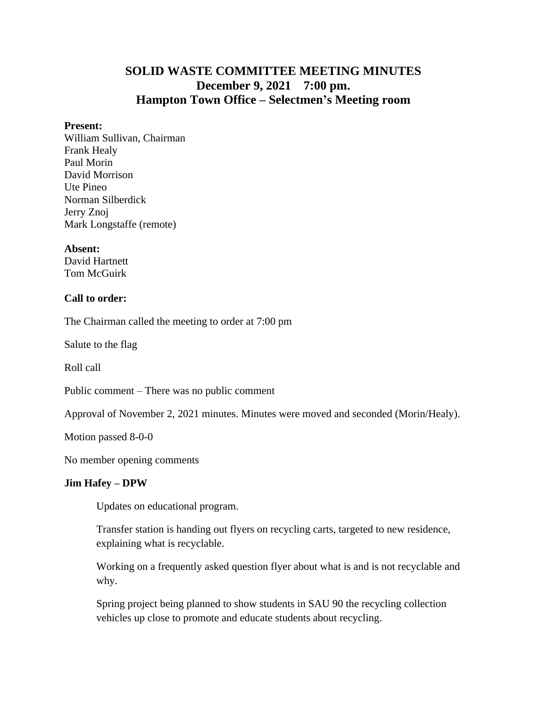# **SOLID WASTE COMMITTEE MEETING MINUTES December 9, 2021 7:00 pm. Hampton Town Office – Selectmen's Meeting room**

#### **Present:**

William Sullivan, Chairman Frank Healy Paul Morin David Morrison Ute Pineo Norman Silberdick Jerry Znoj Mark Longstaffe (remote)

**Absent:**

David Hartnett Tom McGuirk

### **Call to order:**

The Chairman called the meeting to order at 7:00 pm

Salute to the flag

Roll call

Public comment – There was no public comment

Approval of November 2, 2021 minutes. Minutes were moved and seconded (Morin/Healy).

Motion passed 8-0-0

No member opening comments

### **Jim Hafey – DPW**

Updates on educational program.

Transfer station is handing out flyers on recycling carts, targeted to new residence, explaining what is recyclable.

Working on a frequently asked question flyer about what is and is not recyclable and why.

Spring project being planned to show students in SAU 90 the recycling collection vehicles up close to promote and educate students about recycling.